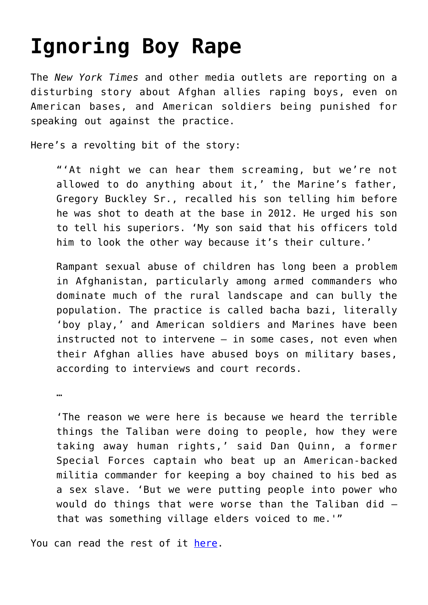## **[Ignoring Boy Rape](https://intellectualtakeout.org/2015/09/ignoring-boy-rape/)**

The *New York Times* and other media outlets are reporting on a disturbing story about Afghan allies raping boys, even on American bases, and American soldiers being punished for speaking out against the practice.

Here's a revolting bit of the story:

"'At night we can hear them screaming, but we're not allowed to do anything about it,' the Marine's father, Gregory Buckley Sr., recalled his son telling him before he was shot to death at the base in 2012. He urged his son to tell his superiors. 'My son said that his officers told him to look the other way because it's their culture.'

Rampant sexual abuse of children has long been a problem in Afghanistan, particularly among armed commanders who dominate much of the rural landscape and can bully the population. The practice is called bacha bazi, literally 'boy play,' and American soldiers and Marines have been instructed not to intervene — in some cases, not even when their Afghan allies have abused boys on military bases, according to interviews and court records.

…

'The reason we were here is because we heard the terrible things the Taliban were doing to people, how they were taking away human rights,' said Dan Quinn, a former Special Forces captain who beat up an American-backed militia commander for keeping a boy chained to his bed as a sex slave. 'But we were putting people into power who would do things that were worse than the Taliban did that was something village elders voiced to me.'"

You can read the rest of it [here.](http://www.nytimes.com/2015/09/21/world/asia/us-soldiers-told-to-ignore-afghan-allies-abuse-of-boys.html?smid=tw-share&_r=4)